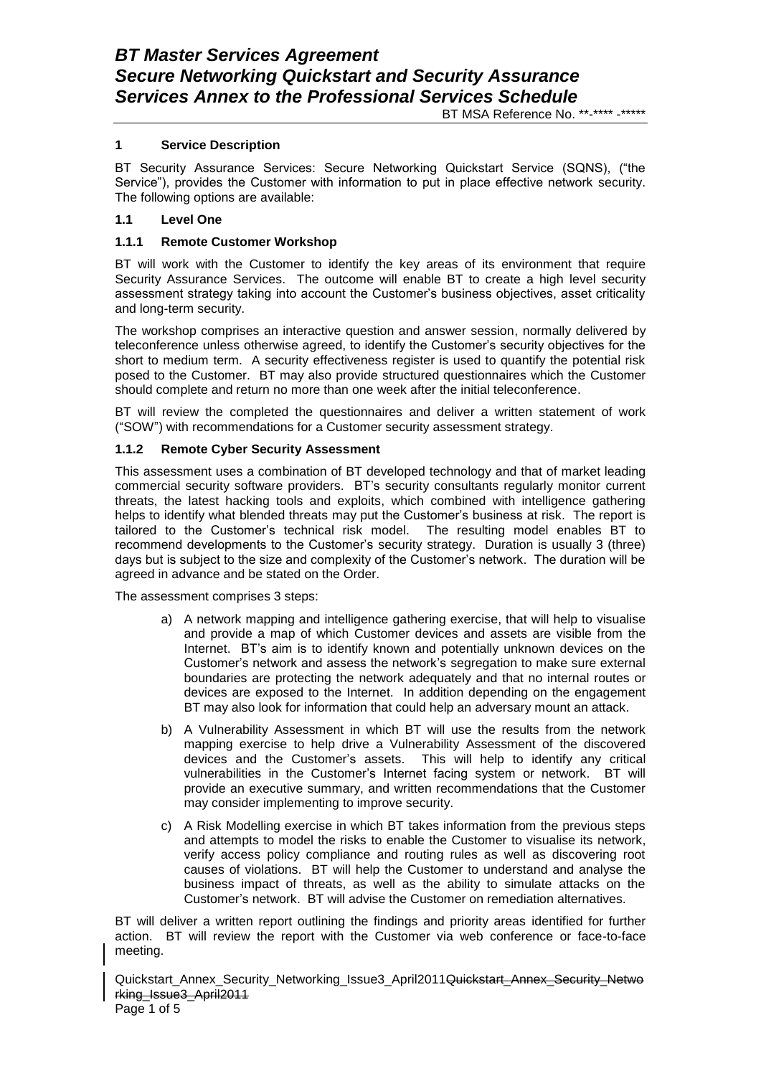#### **1 Service Description**

BT Security Assurance Services: Secure Networking Quickstart Service (SQNS), ("the Service"), provides the Customer with information to put in place effective network security. The following options are available:

### **1.1 Level One**

### **1.1.1 Remote Customer Workshop**

BT will work with the Customer to identify the key areas of its environment that require Security Assurance Services. The outcome will enable BT to create a high level security assessment strategy taking into account the Customer's business objectives, asset criticality and long-term security.

The workshop comprises an interactive question and answer session, normally delivered by teleconference unless otherwise agreed, to identify the Customer's security objectives for the short to medium term. A security effectiveness register is used to quantify the potential risk posed to the Customer. BT may also provide structured questionnaires which the Customer should complete and return no more than one week after the initial teleconference.

BT will review the completed the questionnaires and deliver a written statement of work ("SOW") with recommendations for a Customer security assessment strategy.

#### **1.1.2 Remote Cyber Security Assessment**

This assessment uses a combination of BT developed technology and that of market leading commercial security software providers. BT's security consultants regularly monitor current threats, the latest hacking tools and exploits, which combined with intelligence gathering helps to identify what blended threats may put the Customer's business at risk. The report is tailored to the Customer's technical risk model. The resulting model enables BT to recommend developments to the Customer's security strategy. Duration is usually 3 (three) days but is subject to the size and complexity of the Customer's network. The duration will be agreed in advance and be stated on the Order.

The assessment comprises 3 steps:

- a) A network mapping and intelligence gathering exercise, that will help to visualise and provide a map of which Customer devices and assets are visible from the Internet. BT's aim is to identify known and potentially unknown devices on the Customer's network and assess the network's segregation to make sure external boundaries are protecting the network adequately and that no internal routes or devices are exposed to the Internet. In addition depending on the engagement BT may also look for information that could help an adversary mount an attack.
- b) A Vulnerability Assessment in which BT will use the results from the network mapping exercise to help drive a Vulnerability Assessment of the discovered devices and the Customer's assets. This will help to identify any critical vulnerabilities in the Customer's Internet facing system or network. BT will provide an executive summary, and written recommendations that the Customer may consider implementing to improve security.
- c) A Risk Modelling exercise in which BT takes information from the previous steps and attempts to model the risks to enable the Customer to visualise its network, verify access policy compliance and routing rules as well as discovering root causes of violations. BT will help the Customer to understand and analyse the business impact of threats, as well as the ability to simulate attacks on the Customer's network. BT will advise the Customer on remediation alternatives.

BT will deliver a written report outlining the findings and priority areas identified for further action. BT will review the report with the Customer via web conference or face-to-face meeting.

Quickstart\_Annex\_Security\_Networking\_Issue3\_April2011Quickstart\_Annex\_Security\_Netwo rking\_Issue3\_April2011 Page 1 of 5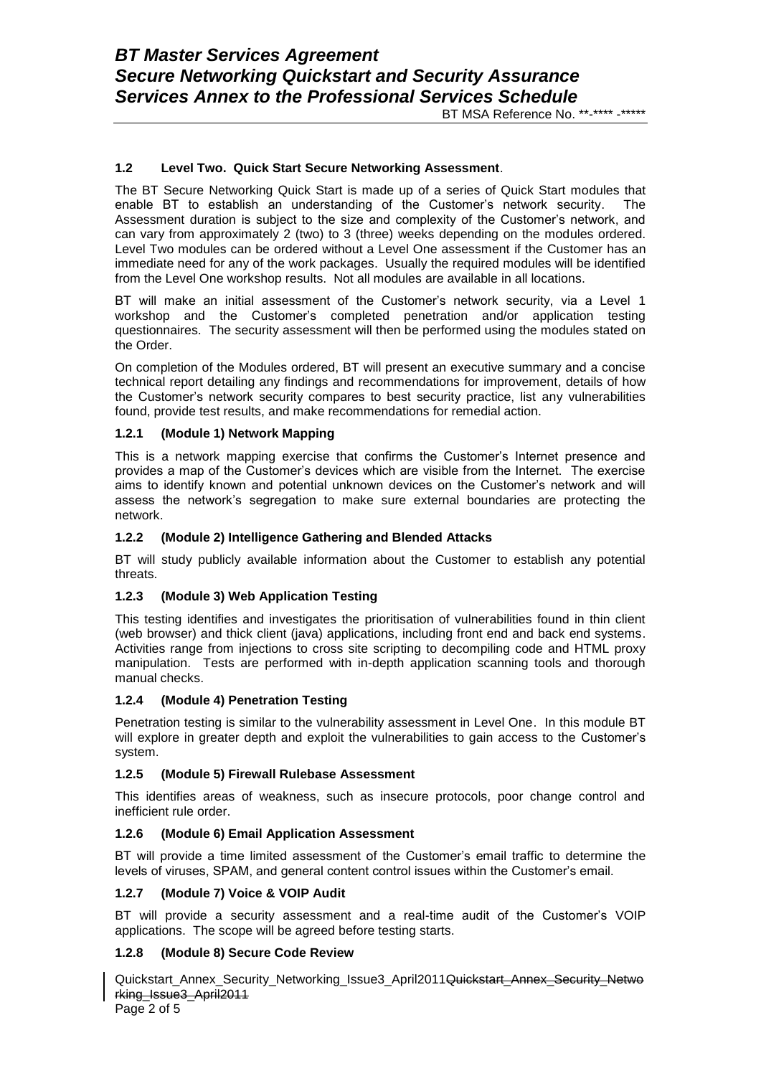#### **1.2 Level Two. Quick Start Secure Networking Assessment**.

The BT Secure Networking Quick Start is made up of a series of Quick Start modules that enable BT to establish an understanding of the Customer's network security. The Assessment duration is subject to the size and complexity of the Customer's network, and can vary from approximately 2 (two) to 3 (three) weeks depending on the modules ordered. Level Two modules can be ordered without a Level One assessment if the Customer has an immediate need for any of the work packages. Usually the required modules will be identified from the Level One workshop results. Not all modules are available in all locations.

BT will make an initial assessment of the Customer's network security, via a Level 1 workshop and the Customer's completed penetration and/or application testing questionnaires. The security assessment will then be performed using the modules stated on the Order.

On completion of the Modules ordered, BT will present an executive summary and a concise technical report detailing any findings and recommendations for improvement, details of how the Customer's network security compares to best security practice, list any vulnerabilities found, provide test results, and make recommendations for remedial action.

#### **1.2.1 (Module 1) Network Mapping**

This is a network mapping exercise that confirms the Customer's Internet presence and provides a map of the Customer's devices which are visible from the Internet. The exercise aims to identify known and potential unknown devices on the Customer's network and will assess the network's segregation to make sure external boundaries are protecting the network.

#### **1.2.2 (Module 2) Intelligence Gathering and Blended Attacks**

BT will study publicly available information about the Customer to establish any potential threats.

### **1.2.3 (Module 3) Web Application Testing**

This testing identifies and investigates the prioritisation of vulnerabilities found in thin client (web browser) and thick client (java) applications, including front end and back end systems. Activities range from injections to cross site scripting to decompiling code and HTML proxy manipulation. Tests are performed with in-depth application scanning tools and thorough manual checks.

#### **1.2.4 (Module 4) Penetration Testing**

Penetration testing is similar to the vulnerability assessment in Level One. In this module BT will explore in greater depth and exploit the vulnerabilities to gain access to the Customer's system.

#### **1.2.5 (Module 5) Firewall Rulebase Assessment**

This identifies areas of weakness, such as insecure protocols, poor change control and inefficient rule order.

#### **1.2.6 (Module 6) Email Application Assessment**

BT will provide a time limited assessment of the Customer's email traffic to determine the levels of viruses, SPAM, and general content control issues within the Customer's email.

#### **1.2.7 (Module 7) Voice & VOIP Audit**

BT will provide a security assessment and a real-time audit of the Customer's VOIP applications. The scope will be agreed before testing starts.

## **1.2.8 (Module 8) Secure Code Review**

Quickstart\_Annex\_Security\_Networking\_Issue3\_April2011Quickstart\_Annex\_Security\_Netwo rking\_Issue3\_April2011

Page 2 of 5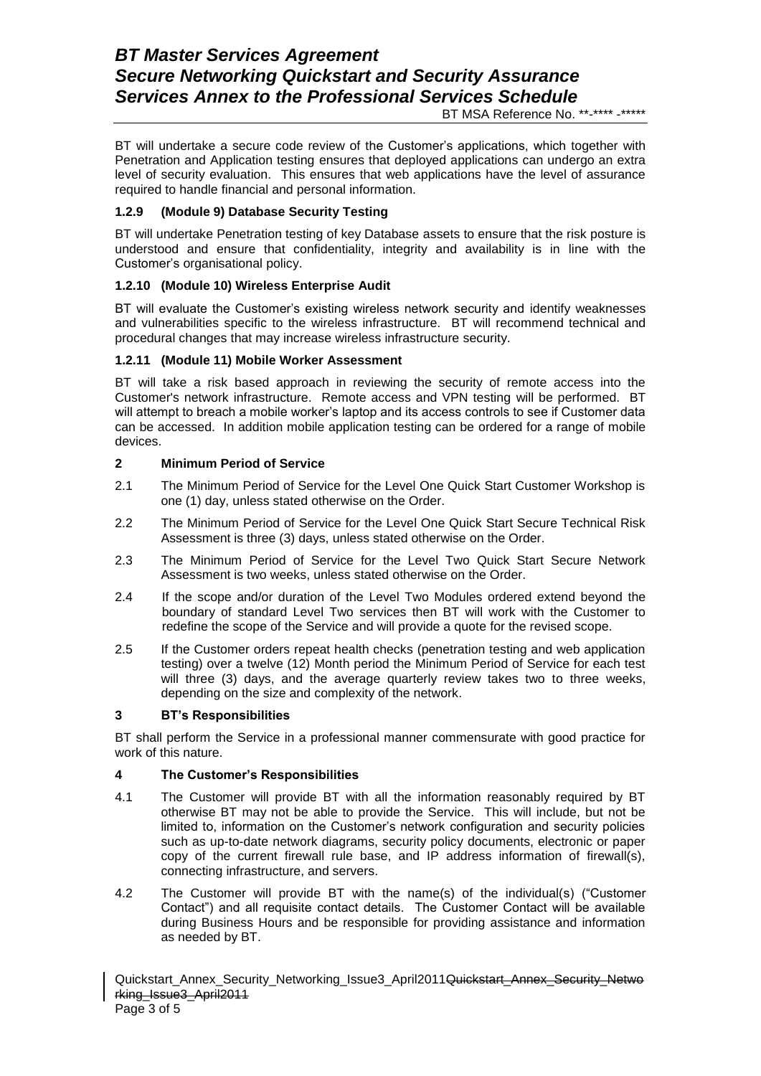BT will undertake a secure code review of the Customer's applications, which together with Penetration and Application testing ensures that deployed applications can undergo an extra level of security evaluation. This ensures that web applications have the level of assurance required to handle financial and personal information.

## **1.2.9 (Module 9) Database Security Testing**

BT will undertake Penetration testing of key Database assets to ensure that the risk posture is understood and ensure that confidentiality, integrity and availability is in line with the Customer's organisational policy.

## **1.2.10 (Module 10) Wireless Enterprise Audit**

BT will evaluate the Customer's existing wireless network security and identify weaknesses and vulnerabilities specific to the wireless infrastructure. BT will recommend technical and procedural changes that may increase wireless infrastructure security.

## **1.2.11 (Module 11) Mobile Worker Assessment**

BT will take a risk based approach in reviewing the security of remote access into the Customer's network infrastructure. Remote access and VPN testing will be performed. BT will attempt to breach a mobile worker's laptop and its access controls to see if Customer data can be accessed. In addition mobile application testing can be ordered for a range of mobile devices.

# **2 Minimum Period of Service**

- 2.1 The Minimum Period of Service for the Level One Quick Start Customer Workshop is one (1) day, unless stated otherwise on the Order.
- 2.2 The Minimum Period of Service for the Level One Quick Start Secure Technical Risk Assessment is three (3) days, unless stated otherwise on the Order.
- 2.3 The Minimum Period of Service for the Level Two Quick Start Secure Network Assessment is two weeks, unless stated otherwise on the Order.
- 2.4 If the scope and/or duration of the Level Two Modules ordered extend beyond the boundary of standard Level Two services then BT will work with the Customer to redefine the scope of the Service and will provide a quote for the revised scope.
- 2.5 If the Customer orders repeat health checks (penetration testing and web application testing) over a twelve (12) Month period the Minimum Period of Service for each test will three (3) days, and the average quarterly review takes two to three weeks, depending on the size and complexity of the network.

## **3 BT's Responsibilities**

BT shall perform the Service in a professional manner commensurate with good practice for work of this nature.

## **4 The Customer's Responsibilities**

- 4.1 The Customer will provide BT with all the information reasonably required by BT otherwise BT may not be able to provide the Service. This will include, but not be limited to, information on the Customer's network configuration and security policies such as up-to-date network diagrams, security policy documents, electronic or paper copy of the current firewall rule base, and IP address information of firewall(s), connecting infrastructure, and servers.
- 4.2 The Customer will provide BT with the name(s) of the individual(s) ("Customer Contact") and all requisite contact details. The Customer Contact will be available during Business Hours and be responsible for providing assistance and information as needed by BT.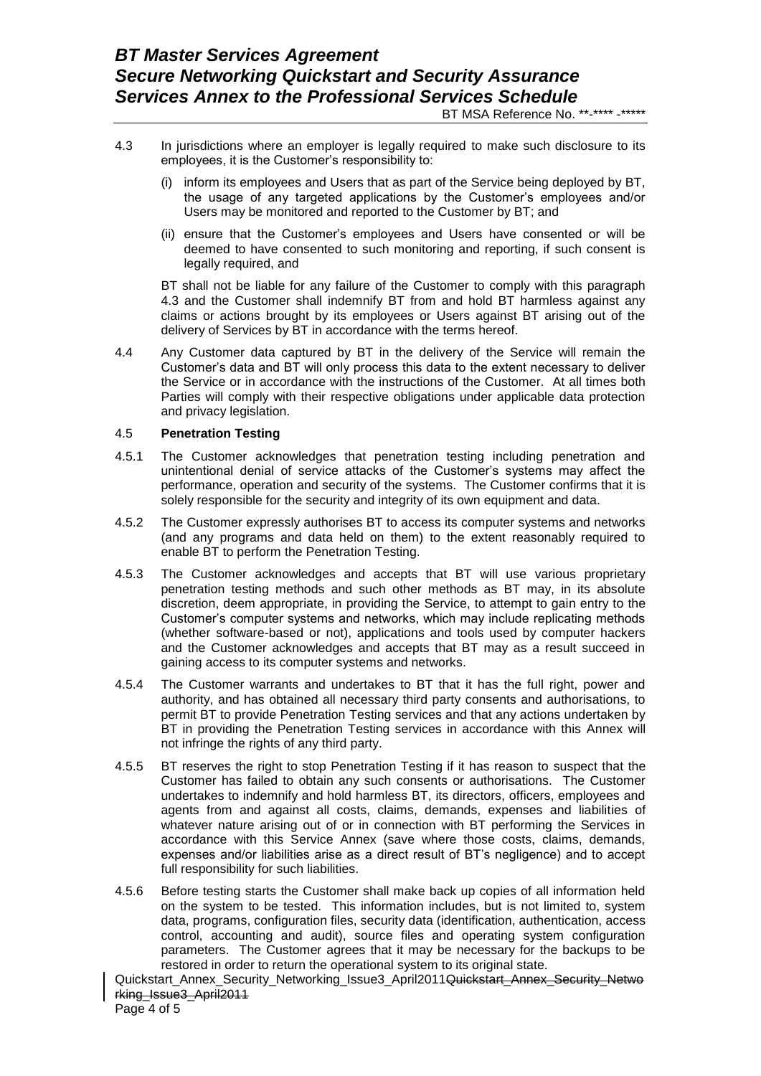- 4.3 In jurisdictions where an employer is legally required to make such disclosure to its employees, it is the Customer's responsibility to:
	- (i) inform its employees and Users that as part of the Service being deployed by BT, the usage of any targeted applications by the Customer's employees and/or Users may be monitored and reported to the Customer by BT; and
	- (ii) ensure that the Customer's employees and Users have consented or will be deemed to have consented to such monitoring and reporting, if such consent is legally required, and

BT shall not be liable for any failure of the Customer to comply with this paragraph 4.3 and the Customer shall indemnify BT from and hold BT harmless against any claims or actions brought by its employees or Users against BT arising out of the delivery of Services by BT in accordance with the terms hereof.

4.4 Any Customer data captured by BT in the delivery of the Service will remain the Customer's data and BT will only process this data to the extent necessary to deliver the Service or in accordance with the instructions of the Customer. At all times both Parties will comply with their respective obligations under applicable data protection and privacy legislation.

#### 4.5 **Penetration Testing**

- 4.5.1 The Customer acknowledges that penetration testing including penetration and unintentional denial of service attacks of the Customer's systems may affect the performance, operation and security of the systems. The Customer confirms that it is solely responsible for the security and integrity of its own equipment and data.
- 4.5.2 The Customer expressly authorises BT to access its computer systems and networks (and any programs and data held on them) to the extent reasonably required to enable BT to perform the Penetration Testing.
- 4.5.3 The Customer acknowledges and accepts that BT will use various proprietary penetration testing methods and such other methods as BT may, in its absolute discretion, deem appropriate, in providing the Service, to attempt to gain entry to the Customer's computer systems and networks, which may include replicating methods (whether software-based or not), applications and tools used by computer hackers and the Customer acknowledges and accepts that BT may as a result succeed in gaining access to its computer systems and networks.
- 4.5.4 The Customer warrants and undertakes to BT that it has the full right, power and authority, and has obtained all necessary third party consents and authorisations, to permit BT to provide Penetration Testing services and that any actions undertaken by BT in providing the Penetration Testing services in accordance with this Annex will not infringe the rights of any third party.
- 4.5.5 BT reserves the right to stop Penetration Testing if it has reason to suspect that the Customer has failed to obtain any such consents or authorisations. The Customer undertakes to indemnify and hold harmless BT, its directors, officers, employees and agents from and against all costs, claims, demands, expenses and liabilities of whatever nature arising out of or in connection with BT performing the Services in accordance with this Service Annex (save where those costs, claims, demands, expenses and/or liabilities arise as a direct result of BT's negligence) and to accept full responsibility for such liabilities.
- 4.5.6 Before testing starts the Customer shall make back up copies of all information held on the system to be tested. This information includes, but is not limited to, system data, programs, configuration files, security data (identification, authentication, access control, accounting and audit), source files and operating system configuration parameters. The Customer agrees that it may be necessary for the backups to be restored in order to return the operational system to its original state.

Quickstart\_Annex\_Security\_Networking\_Issue3\_April2011Quickstart\_Annex\_Security\_Netwo rking\_Issue3\_April2011